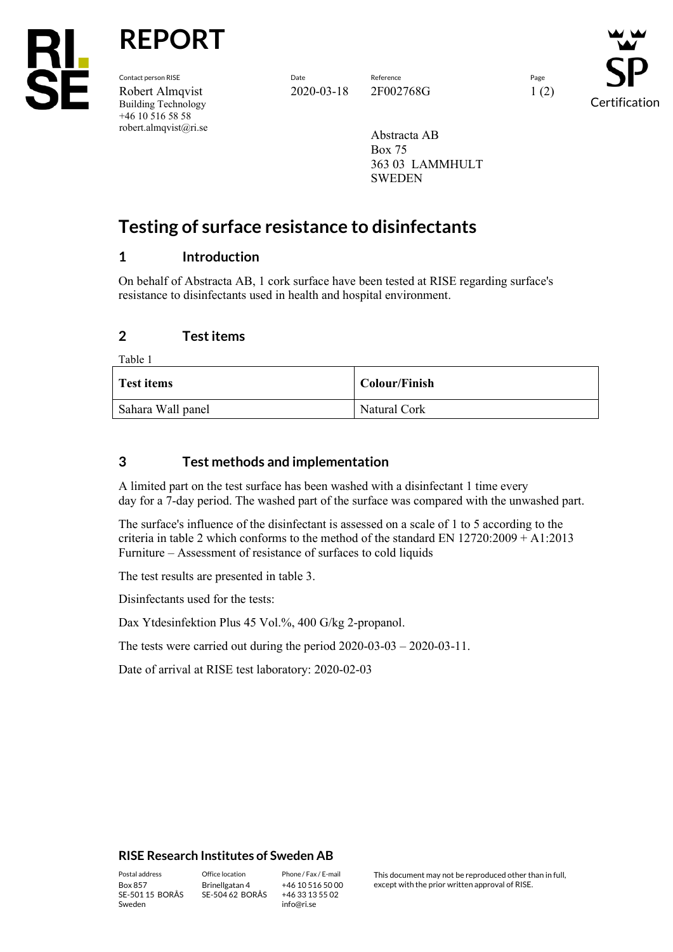

**REPORT**

Contact person RISE Date Reference Page Robert Almqvist 2020-03-18 2F002768G 1 (2) Building Technology +46 10 516 58 58 robert.almqvist@ri.se

Certification

Abstracta AB Box 75 363 03 LAMMHULT SWEDEN

# **Testing of surface resistance to disinfectants**

# **1 Introduction**

On behalf of Abstracta AB, 1 cork surface have been tested at RISE regarding surface's resistance to disinfectants used in health and hospital environment.

# **2 Test items**

Table 1

| <b>Test items</b> | Colour/Finish |
|-------------------|---------------|
| Sahara Wall panel | Natural Cork  |

# **3 Test methods and implementation**

A limited part on the test surface has been washed with a disinfectant 1 time every day for a 7-day period. The washed part of the surface was compared with the unwashed part.

The surface's influence of the disinfectant is assessed on a scale of 1 to 5 according to the criteria in table 2 which conforms to the method of the standard EN 12720:2009 + A1:2013 Furniture – Assessment of resistance of surfaces to cold liquids

The test results are presented in table 3.

Disinfectants used for the tests:

Dax Ytdesinfektion Plus 45 Vol.%, 400 G/kg 2-propanol.

The tests were carried out during the period 2020-03-03 – 2020-03-11.

Date of arrival at RISE test laboratory: 2020-02-03

#### **RISE Research Institutes of Sweden AB**

SE-501 15 BORÅS Sweden

Brinellgatan 4 SE-504 62 BORÅS

+46 10 516 50 00 +46 33 13 55 02 info@ri.se

Postal address Office location Phone / Fax / E-mail This document may not be reproduced other than in full,<br>  $\frac{1}{100}$  Box 857 Binellgatan 4 +46 10 516 50 00 except with the prior written approval of RISE. except with the prior written approval of RISE.